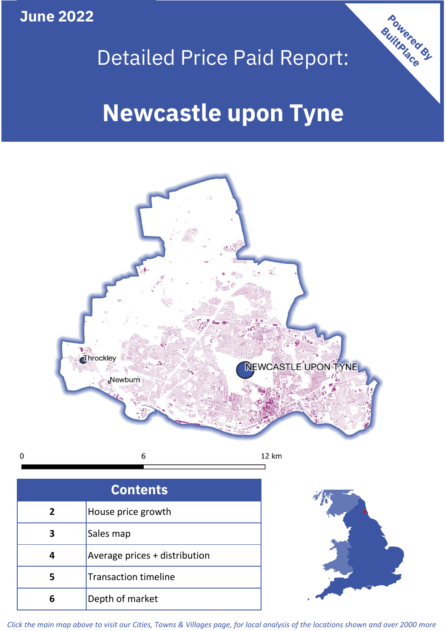**June 2022**

 $\mathbf 0$ 



## Detailed Price Paid Report:

# **Newcastle upon Tyne**



|   | House price growth            |  |  |  |  |
|---|-------------------------------|--|--|--|--|
|   | Sales map                     |  |  |  |  |
|   | Average prices + distribution |  |  |  |  |
|   | Transaction timeline          |  |  |  |  |
| h | Depth of market               |  |  |  |  |



*Click the main map above to visit our Cities, Towns & Villages page, for local analysis of the locations shown and over 2000 more*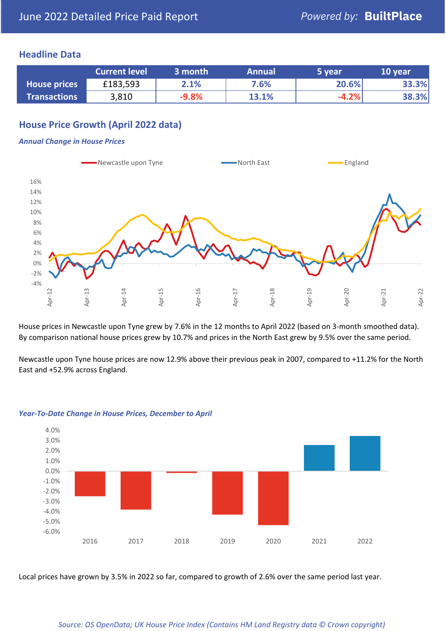## **Headline Data**

|                     | <b>Current level</b> | 3 month | <b>Annual</b> | 5 year  | 10 year |
|---------------------|----------------------|---------|---------------|---------|---------|
| <b>House prices</b> | £183,593             | 2.1%    | 7.6%          | 20.6%   | 33.3%   |
| <b>Transactions</b> | 3,810                | $-9.8%$ | 13.1%         | $-4.2%$ | 38.3%   |

## **House Price Growth (April 2022 data)**

#### *Annual Change in House Prices*



House prices in Newcastle upon Tyne grew by 7.6% in the 12 months to April 2022 (based on 3-month smoothed data). By comparison national house prices grew by 10.7% and prices in the North East grew by 9.5% over the same period.

Newcastle upon Tyne house prices are now 12.9% above their previous peak in 2007, compared to +11.2% for the North East and +52.9% across England.



#### *Year-To-Date Change in House Prices, December to April*

Local prices have grown by 3.5% in 2022 so far, compared to growth of 2.6% over the same period last year.

#### *Source: OS OpenData; UK House Price Index (Contains HM Land Registry data © Crown copyright)*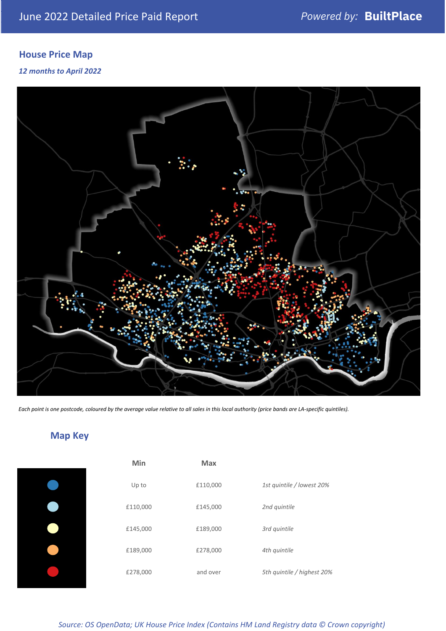## **House Price Map**

## *12 months to April 2022*



*Each point is one postcode, coloured by the average value relative to all sales in this local authority (price bands are LA-specific quintiles).*

## **Map Key**

| Min      | Max      |                            |
|----------|----------|----------------------------|
| Up to    | £110,000 | 1st quintile / lowest 20%  |
| £110,000 | £145,000 | 2nd quintile               |
| £145,000 | £189,000 | 3rd quintile               |
| £189,000 | £278,000 | 4th quintile               |
| £278,000 | and over | 5th quintile / highest 20% |

*Source: OS OpenData; UK House Price Index (Contains HM Land Registry data © Crown copyright)*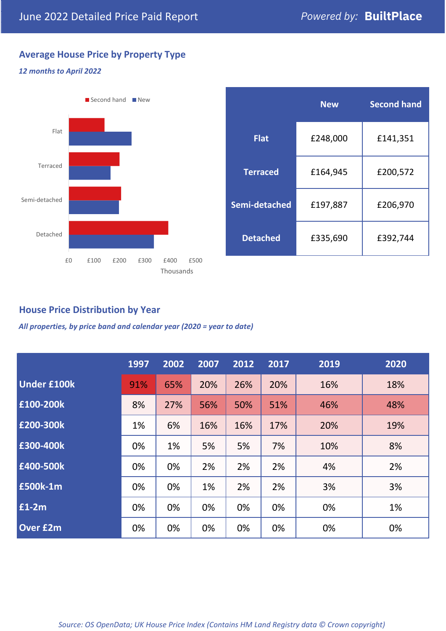## **Average House Price by Property Type**

### *12 months to April 2022*



|                 | <b>New</b> | <b>Second hand</b> |  |  |
|-----------------|------------|--------------------|--|--|
| Flat            | £248,000   | £141,351           |  |  |
| <b>Terraced</b> | £164,945   | £200,572           |  |  |
| Semi-detached   | £197,887   | £206,970           |  |  |
| <b>Detached</b> | £335,690   | £392,744           |  |  |

## **House Price Distribution by Year**

*All properties, by price band and calendar year (2020 = year to date)*

|                    | 1997 | 2002 | 2007 | 2012 | 2017 | 2019 | 2020 |
|--------------------|------|------|------|------|------|------|------|
| <b>Under £100k</b> | 91%  | 65%  | 20%  | 26%  | 20%  | 16%  | 18%  |
| £100-200k          | 8%   | 27%  | 56%  | 50%  | 51%  | 46%  | 48%  |
| E200-300k          | 1%   | 6%   | 16%  | 16%  | 17%  | 20%  | 19%  |
| £300-400k          | 0%   | 1%   | 5%   | 5%   | 7%   | 10%  | 8%   |
| £400-500k          | 0%   | 0%   | 2%   | 2%   | 2%   | 4%   | 2%   |
| <b>£500k-1m</b>    | 0%   | 0%   | 1%   | 2%   | 2%   | 3%   | 3%   |
| £1-2m              | 0%   | 0%   | 0%   | 0%   | 0%   | 0%   | 1%   |
| <b>Over £2m</b>    | 0%   | 0%   | 0%   | 0%   | 0%   | 0%   | 0%   |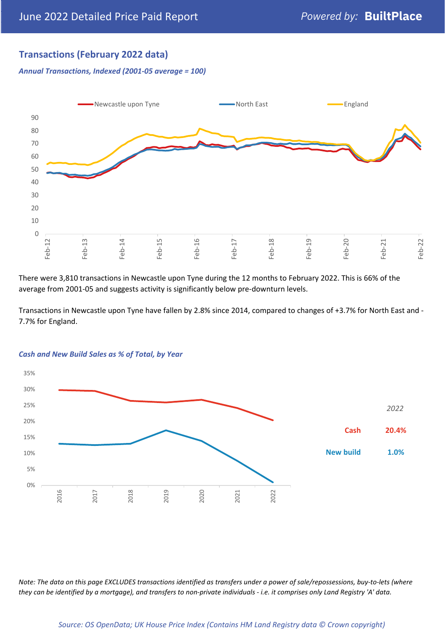## **Transactions (February 2022 data)**

*Annual Transactions, Indexed (2001-05 average = 100)*



There were 3,810 transactions in Newcastle upon Tyne during the 12 months to February 2022. This is 66% of the average from 2001-05 and suggests activity is significantly below pre-downturn levels.

Transactions in Newcastle upon Tyne have fallen by 2.8% since 2014, compared to changes of +3.7% for North East and - 7.7% for England.



#### *Cash and New Build Sales as % of Total, by Year*

*Note: The data on this page EXCLUDES transactions identified as transfers under a power of sale/repossessions, buy-to-lets (where they can be identified by a mortgage), and transfers to non-private individuals - i.e. it comprises only Land Registry 'A' data.*